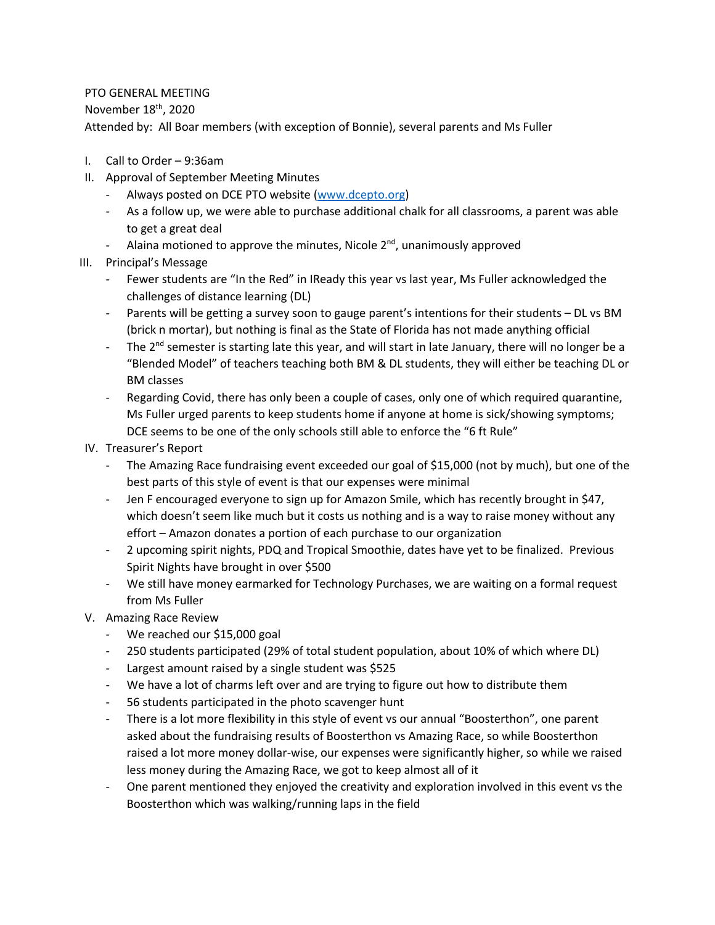## PTO GENERAL MEETING

November 18<sup>th</sup>, 2020

Attended by: All Boar members (with exception of Bonnie), several parents and Ms Fuller

- I. Call to Order 9:36am
- II. Approval of September Meeting Minutes
	- Always posted on DCE PTO website (www.dcepto.org)
	- As a follow up, we were able to purchase additional chalk for all classrooms, a parent was able to get a great deal
	- Alaina motioned to approve the minutes, Nicole  $2^{nd}$ , unanimously approved
- III. Principal's Message
	- Fewer students are "In the Red" in IReady this year vs last year, Ms Fuller acknowledged the challenges of distance learning (DL)
	- Parents will be getting a survey soon to gauge parent's intentions for their students DL vs BM (brick n mortar), but nothing is final as the State of Florida has not made anything official
	- The 2<sup>nd</sup> semester is starting late this year, and will start in late January, there will no longer be a "Blended Model" of teachers teaching both BM & DL students, they will either be teaching DL or BM classes
	- Regarding Covid, there has only been a couple of cases, only one of which required quarantine, Ms Fuller urged parents to keep students home if anyone at home is sick/showing symptoms; DCE seems to be one of the only schools still able to enforce the "6 ft Rule"
- IV. Treasurer's Report
	- The Amazing Race fundraising event exceeded our goal of \$15,000 (not by much), but one of the best parts of this style of event is that our expenses were minimal
	- Jen F encouraged everyone to sign up for Amazon Smile, which has recently brought in \$47, which doesn't seem like much but it costs us nothing and is a way to raise money without any effort – Amazon donates a portion of each purchase to our organization
	- 2 upcoming spirit nights, PDQ and Tropical Smoothie, dates have yet to be finalized. Previous Spirit Nights have brought in over \$500
	- We still have money earmarked for Technology Purchases, we are waiting on a formal request from Ms Fuller
- V. Amazing Race Review
	- We reached our \$15,000 goal
	- 250 students participated (29% of total student population, about 10% of which where DL)
	- Largest amount raised by a single student was \$525
	- We have a lot of charms left over and are trying to figure out how to distribute them
	- 56 students participated in the photo scavenger hunt
	- There is a lot more flexibility in this style of event vs our annual "Boosterthon", one parent asked about the fundraising results of Boosterthon vs Amazing Race, so while Boosterthon raised a lot more money dollar-wise, our expenses were significantly higher, so while we raised less money during the Amazing Race, we got to keep almost all of it
	- One parent mentioned they enjoyed the creativity and exploration involved in this event vs the Boosterthon which was walking/running laps in the field